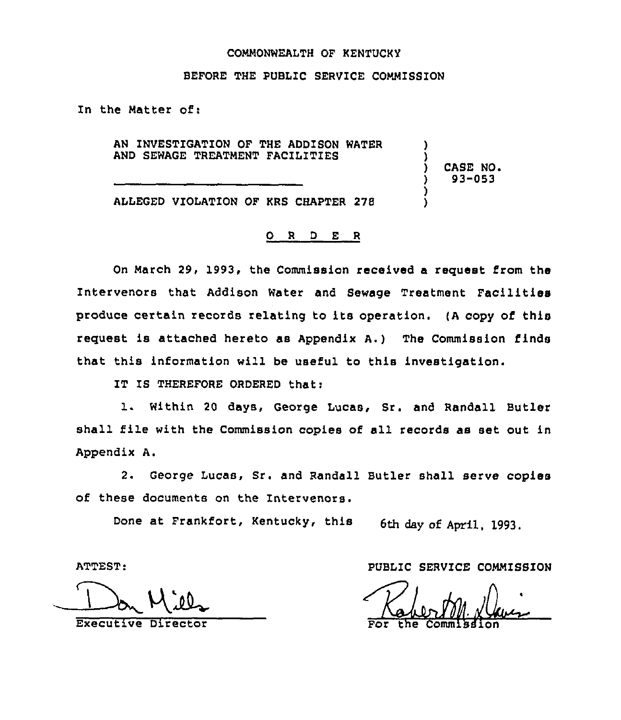## COMMONWEALTH OF KENTUCKY

## BEFORE THE PUBLIC SERVICE COMMISSION

In the Natter of:

AN INVESTIGATION OF THE ADDISON WATER AND SEWAGE TREATMENT FACILITIES

) CASE NO. ) 93-053

) )

) )

ALLEGED VIOLATION OF KRS CHAPTER 278

## O R D E R

On March 29, l993, the Commission received a request from the Intervenors that Addison Water and Sewage Treatment Facilities produce certain zecozds relating to its operation. (A copy of this request is attached hereto as Appendix A.) The Commission finds that this information will be useful to this investigation.

IT IS THEREFORE ORDERED that:

l. Within <sup>20</sup> days, George Lucas, Sr. and Randall Butler shall file with the Commission copies of sll records as set out in Appendix A.

2. George Lucas, Sr. and Randall Butler shall serve copies of these documents on the Intezvenors.

Done at Frankfort, Kentucky, this 6th day of April, 1993.

ATTEST:

Executive Direct

PUBLIC SERVICE COMMISSION

For the Commissio